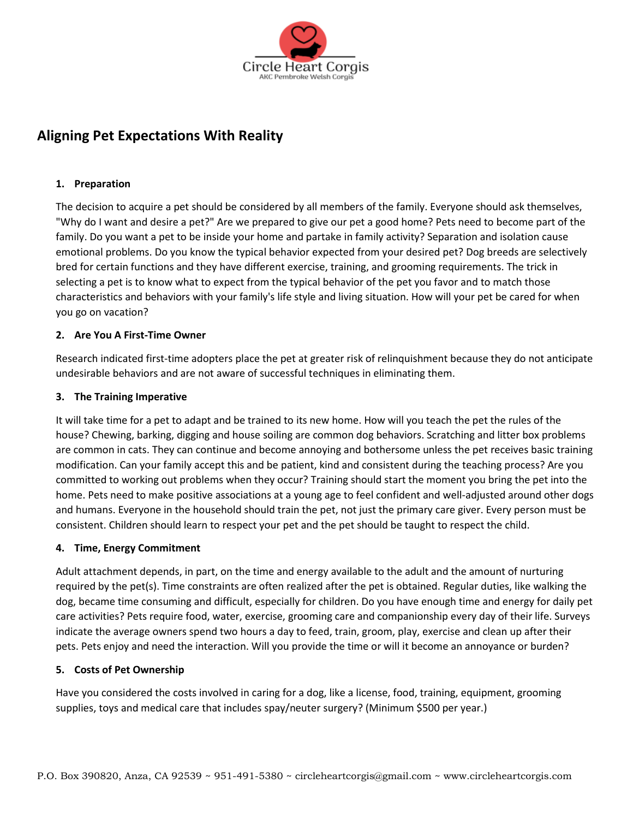

# **Aligning Pet Expectations With Reality**

# **1. Preparation**

The decision to acquire a pet should be considered by all members of the family. Everyone should ask themselves, "Why do I want and desire a pet?" Are we prepared to give our pet a good home? Pets need to become part of the family. Do you want a pet to be inside your home and partake in family activity? Separation and isolation cause emotional problems. Do you know the typical behavior expected from your desired pet? Dog breeds are selectively bred for certain functions and they have different exercise, training, and grooming requirements. The trick in selecting a pet is to know what to expect from the typical behavior of the pet you favor and to match those characteristics and behaviors with your family's life style and living situation. How will your pet be cared for when you go on vacation?

# **2. Are You A First-Time Owner**

Research indicated first-time adopters place the pet at greater risk of relinquishment because they do not anticipate undesirable behaviors and are not aware of successful techniques in eliminating them.

## **3. The Training Imperative**

It will take time for a pet to adapt and be trained to its new home. How will you teach the pet the rules of the house? Chewing, barking, digging and house soiling are common dog behaviors. Scratching and litter box problems are common in cats. They can continue and become annoying and bothersome unless the pet receives basic training modification. Can your family accept this and be patient, kind and consistent during the teaching process? Are you committed to working out problems when they occur? Training should start the moment you bring the pet into the home. Pets need to make positive associations at a young age to feel confident and well-adjusted around other dogs and humans. Everyone in the household should train the pet, not just the primary care giver. Every person must be consistent. Children should learn to respect your pet and the pet should be taught to respect the child.

## **4. Time, Energy Commitment**

Adult attachment depends, in part, on the time and energy available to the adult and the amount of nurturing required by the pet(s). Time constraints are often realized after the pet is obtained. Regular duties, like walking the dog, became time consuming and difficult, especially for children. Do you have enough time and energy for daily pet care activities? Pets require food, water, exercise, grooming care and companionship every day of their life. Surveys indicate the average owners spend two hours a day to feed, train, groom, play, exercise and clean up after their pets. Pets enjoy and need the interaction. Will you provide the time or will it become an annoyance or burden?

## **5. Costs of Pet Ownership**

Have you considered the costs involved in caring for a dog, like a license, food, training, equipment, grooming supplies, toys and medical care that includes spay/neuter surgery? (Minimum \$500 per year.)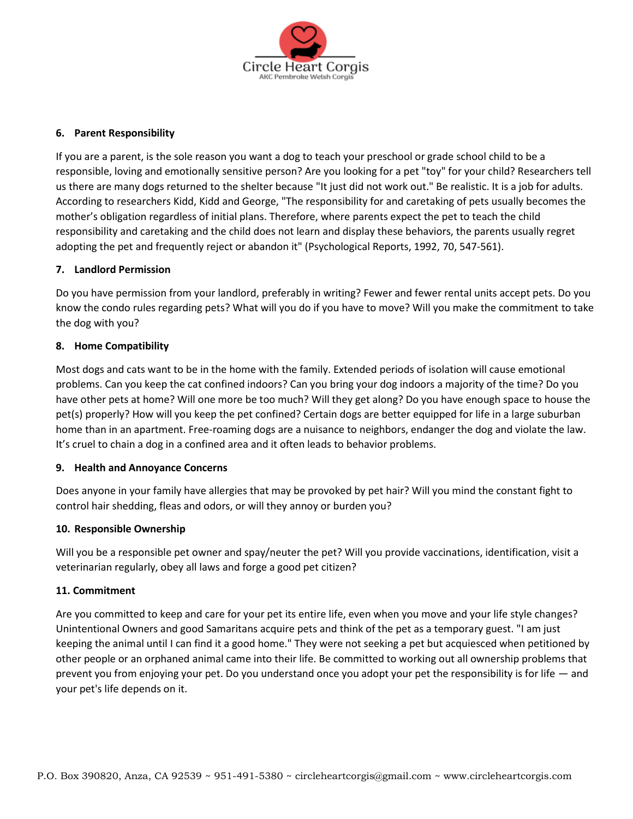

## **6. Parent Responsibility**

If you are a parent, is the sole reason you want a dog to teach your preschool or grade school child to be a responsible, loving and emotionally sensitive person? Are you looking for a pet "toy" for your child? Researchers tell us there are many dogs returned to the shelter because "It just did not work out." Be realistic. It is a job for adults. According to researchers Kidd, Kidd and George, "The responsibility for and caretaking of pets usually becomes the mother's obligation regardless of initial plans. Therefore, where parents expect the pet to teach the child responsibility and caretaking and the child does not learn and display these behaviors, the parents usually regret adopting the pet and frequently reject or abandon it" (Psychological Reports, 1992, 70, 547-561).

# **7. Landlord Permission**

Do you have permission from your landlord, preferably in writing? Fewer and fewer rental units accept pets. Do you know the condo rules regarding pets? What will you do if you have to move? Will you make the commitment to take the dog with you?

## **8. Home Compatibility**

Most dogs and cats want to be in the home with the family. Extended periods of isolation will cause emotional problems. Can you keep the cat confined indoors? Can you bring your dog indoors a majority of the time? Do you have other pets at home? Will one more be too much? Will they get along? Do you have enough space to house the pet(s) properly? How will you keep the pet confined? Certain dogs are better equipped for life in a large suburban home than in an apartment. Free-roaming dogs are a nuisance to neighbors, endanger the dog and violate the law. It's cruel to chain a dog in a confined area and it often leads to behavior problems.

## **9. Health and Annoyance Concerns**

Does anyone in your family have allergies that may be provoked by pet hair? Will you mind the constant fight to control hair shedding, fleas and odors, or will they annoy or burden you?

## **10. Responsible Ownership**

Will you be a responsible pet owner and spay/neuter the pet? Will you provide vaccinations, identification, visit a veterinarian regularly, obey all laws and forge a good pet citizen?

## **11. Commitment**

Are you committed to keep and care for your pet its entire life, even when you move and your life style changes? Unintentional Owners and good Samaritans acquire pets and think of the pet as a temporary guest. "I am just keeping the animal until I can find it a good home." They were not seeking a pet but acquiesced when petitioned by other people or an orphaned animal came into their life. Be committed to working out all ownership problems that prevent you from enjoying your pet. Do you understand once you adopt your pet the responsibility is for life — and your pet's life depends on it.